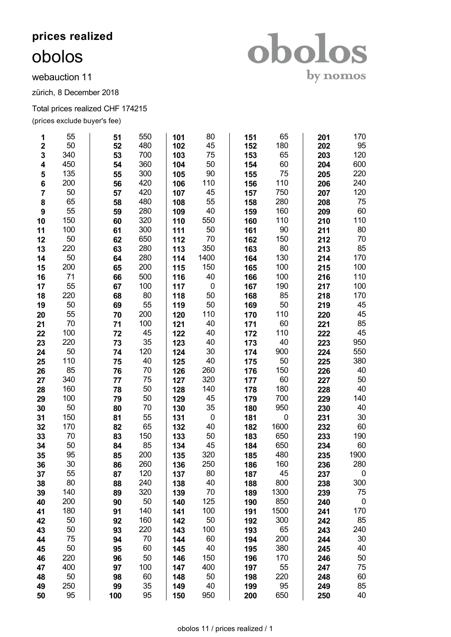## **prices realized** obolos

webauction 11

zürich, 8 December 2018

## Total prices realized CHF 174215

(prices exclude buyer's fee)

| 1                       | 55       | 51       | 550        | 101        | 80               | 151        | 65        | 201        | 170              |
|-------------------------|----------|----------|------------|------------|------------------|------------|-----------|------------|------------------|
| $\mathbf 2$             | 50       | 52       | 480        | 102        | 45               | 152        | 180       | 202        | 95               |
| 3                       | 340      | 53       | 700        | 103        | 75               | 153        | 65        | 203        | 120              |
| $\overline{\mathbf{4}}$ | 450      | 54       | 360        | 104        | 50               | 154        | 60        | 204        | 600              |
| 5                       | 135      | 55       | 300        | 105        | 90               | 155        | 75        | 205        | 220              |
| $\bf 6$                 | 200      | 56       | 420        | 106        | 110              | 156        | 110       | 206        | 240              |
| $\overline{\mathbf{7}}$ | 50       | 57       | 420        | 107        | 45               | 157        | 750       | 207        | 120              |
| 8                       | 65       | 58       | 480        | 108        | 55               | 158        | 280       | 208        | 75               |
| $\boldsymbol{9}$        | 55       | 59       | 280        | 109        | 40               | 159        | 160       | 209        | 60               |
| 10                      | 150      | 60       | 320        | 110        | 550              | 160        | 110       | 210        | 110              |
| 11                      | 100      | 61       | 300        | 111        | 50               | 161        | 90        | 211        | 80               |
| 12                      | 50       | 62       | 650        | 112        | 70               | 162        | 150       | 212        | 70               |
| 13                      | 220      | 63       | 280        | 113        | 350              | 163        | 80        | 213        | 85               |
| 14                      | 50       | 64       | 280        | 114        | 1400             | 164        | 130       | 214        | 170              |
| 15                      | 200      | 65       | 200        | 115        | 150              | 165        | 100       | 215        | 100              |
| 16                      | 71       | 66       | 500        | 116        | 40               | 166        | 100       | 216        | 110              |
| 17                      | 55       | 67       | 100        | 117        | $\boldsymbol{0}$ | 167        | 190       | 217        | 100              |
| 18                      | 220      | 68       | 80         | 118        | 50               | 168        | 85        | 218        | 170              |
| 19                      | 50       | 69       | 55         | 119        | 50               | 169        | 50        | 219        | 45               |
| 20                      | 55       | 70       | 200        | 120        | 110              | 170        | 110       | 220        | 45               |
| 21                      | 70       | 71       | 100        | 121        | 40               | 171        | 60        | 221        | 85               |
| 22                      | 100      | 72       | 45         | 122        | 40               | 172        | 110       | 222        | 45               |
| 23                      | 220      | 73       | 35         | 123        | 40               | 173        | 40        | 223        | 950              |
| 24                      | 50       | 74       | 120        | 124        | 30               | 174        | 900       | 224        | 550              |
| 25                      | 110      | 75       | 40         | 125        | 40               | 175        | 50        | 225        | 380              |
| 26                      | 85       | 76       | 70         | 126        | 260              | 176        | 150       | 226        | 40               |
| 27                      | 340      | 77       | 75         | 127        | 320              | 177        | 60        | 227        | 50               |
| 28                      | 160      | 78       | 50         | 128        | 140              | 178        | 180       | 228        | 40               |
| 29                      | 100      | 79       | 50         | 129        | 45               | 179        | 700       | 229        | 140              |
| 30                      | 50       | 80       | 70         | 130        | 35               | 180        | 950       | 230        | 40               |
| 31                      | 150      | 81       | 55         | 131        | $\mathbf 0$      | 181        | $\pmb{0}$ | 231        | $30\,$           |
| 32                      | 170      | 82       | 65         | 132        | 40               | 182        | 1600      | 232        | 60               |
| 33                      | 70       | 83       | 150        | 133        | 50               | 183        | 650       | 233        | 190              |
| 34                      | 50       | 84       | 85         | 134        | 45               | 184        | 650       | 234        | 60               |
| 35                      | 95       | 85       | 200        | 135        | 320              | 185        | 480       | 235        | 1900             |
| 36                      | 30       | 86       | 260        | 136        | 250              | 186        | 160       | 236        | 280              |
| 37                      | 55<br>80 | 87       | 120<br>240 | 137        | $80\,$<br>40     | 187        | 45<br>800 | 237        | $\mathbf 0$      |
| 38                      | 140      | 88       | 320        | 138        | 70               | 188        | 1300      | 238        | 300<br>75        |
| 39                      | 200      | 89<br>90 | 50         | 139        | 125              | 189<br>190 | 850       | 239        | $\boldsymbol{0}$ |
| 40<br>41                | 180      | 91       | 140        | 140<br>141 | 100              | 191        | 1500      | 240<br>241 | 170              |
| 42                      | 50       | 92       | 160        | 142        | 50               | 192        | 300       | 242        | 85               |
| 43                      | 50       | 93       | 220        | 143        | 100              | 193        | 65        | 243        | 240              |
| 44                      | 75       | 94       | 70         | 144        | 60               |            | 200       | 244        | $30\,$           |
| 45                      | 50       | 95       | 60         | 145        | 40               | 194<br>195 | 380       | 245        | 40               |
| 46                      | 220      | 96       | 50         | 146        | 150              | 196        | 170       | 246        | 50               |
| 47                      | 400      | 97       | 100        | 147        | 400              | 197        | 55        | 247        | 75               |
| 48                      | 50       | 98       | 60         | 148        | 50               | 198        | 220       | 248        | 60               |
| 49                      | 250      | 99       | 35         | 149        | 40               | 199        | 95        | 249        | 85               |
| 50                      | 95       | 100      | 95         | 150        | 950              | 200        | 650       | 250        | 40               |
|                         |          |          |            |            |                  |            |           |            |                  |

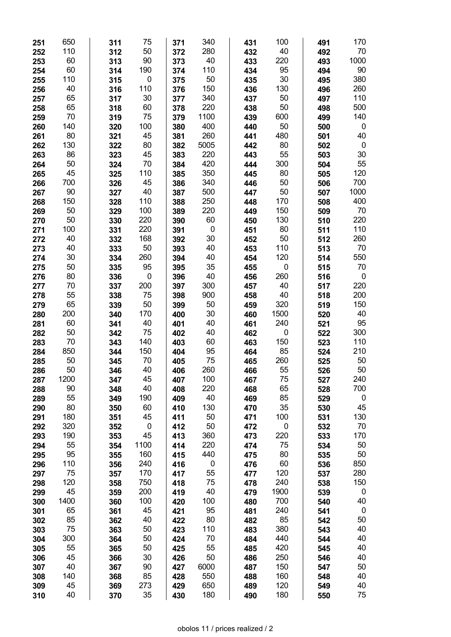| 251        | 650      | 311        | 75               | 371        | 340         | 431        | 100         | 491        | 170         |
|------------|----------|------------|------------------|------------|-------------|------------|-------------|------------|-------------|
| 252        | 110      | 312        | 50               | 372        | 280         | 432        | 40          | 492        | 70          |
| 253        | 60       | 313        | 90               | 373        | 40          | 433        | 220         | 493        | 1000        |
| 254        | 60       | 314        | 190              | 374        | 110         | 434        | 95          | 494        | 90          |
| 255        | 110      | 315        | $\pmb{0}$        | 375        | 50          | 435        | 30          | 495        | 380         |
| 256        | 40       | 316        | 110              | 376        | 150         | 436        | 130         | 496        | 260         |
| 257        | 65       | 317        | 30               | 377        | 340         | 437        | 50          | 497        | 110         |
| 258        | 65       | 318        | 60               | 378        | 220         | 438        | 50          | 498        | 500         |
| 259        | 70       | 319        | 75               | 379        | 1100        | 439        | 600         | 499        | 140         |
| 260        | 140      | 320        | 100              | 380        | 400         | 440        | 50          | 500        | $\mathbf 0$ |
| 261        | 80       | 321        | 45               | 381        | 260         | 441        | 480         | 501        | 40          |
| 262        | 130      | 322        | 80               | 382        | 5005        | 442        | 80          | 502        | $\pmb{0}$   |
| 263        | 86       | 323        | 45               | 383        | 220         | 443        | 55          | 503        | 30          |
| 264        | 50       | 324        | 70               | 384        | 420         | 444        | 300         | 504        | 55          |
| 265        | 45       | 325        | 110              | 385        | 350         | 445        | 80          | 505        | 120         |
| 266        | 700      | 326        | 45               | 386        | 340         | 446        | 50          | 506        | 700         |
| 267        | 90       | 327        | 40               | 387        | 500         | 447        | 50          | 507        | 1000        |
| 268        | 150      | 328        | 110              | 388        | 250         | 448        | 170         | 508        | 400         |
| 269        | 50       | 329        | 100              | 389        | 220         | 449        | 150         | 509        | 70          |
| 270        | 50       | 330        | 220              | 390        | 60          | 450        | 130         | 510        | 220         |
| 271        | 100      | 331        | 220              | 391        | $\mathbf 0$ | 451        | 80          | 511        | 110         |
| 272        | 40       | 332        | 168              | 392        | 30          | 452        | 50          | 512        | 260         |
| 273        | 40       | 333        | 50               | 393        | 40          | 453        | 110         | 513        | 70          |
| 274        | 30       | 334        | 260              | 394        | 40          | 454        | 120         | 514        | 550         |
| 275        | 50       | 335        | 95               | 395        | 35          | 455        | $\mathbf 0$ | 515        | 70          |
| 276        | 80       | 336        | $\pmb{0}$        | 396        | 40          | 456        | 260         | 516        | $\mathbf 0$ |
| 277        | 70       | 337        | 200              | 397        | 300         | 457        | 40          | 517        | 220         |
| 278        | 55       | 338        | 75               | 398        | 900         | 458        | 40          | 518        | 200         |
| 279        | 65       | 339        | 50               | 399        | 50          | 459        | 320         | 519        | 150         |
| 280        | 200      | 340        | 170              | 400        | 30          | 460        | 1500        | 520        | 40          |
| 281        | 60       | 341        | 40               | 401        | 40          | 461        | 240         | 521        | 95          |
| 282        | 50       | 342        | 75               | 402        | 40          | 462        | $\mathbf 0$ | 522        | 300         |
| 283        | 70       | 343        | 140              | 403        | 60          | 463        | 150         | 523        | 110         |
| 284        | 850      | 344        | 150              | 404        | 95          | 464        | 85          | 524        | 210         |
| 285        | 50       | 345        | 70               | 405        | 75          | 465        | 260         | 525        | 50          |
| 286        | 50       | 346        | 40               | 406        | 260         | 466        | 55          | 526        | 50          |
| 287        | 1200     | 347        | 45               | 407        | 100         | 467        | 75          | 527        | 240         |
| 288        | 90       | 348        | 40               | 408        | 220         | 468        | 65          | 528        | 700         |
| 289        | 55       | 349        | 190              | 409        | 40          | 469        | 85          | 529        | $\pmb{0}$   |
| 290        | 80       | 350        | 60               | 410        | 130         | 470        | 35          | 530        | 45          |
| 291        | 180      | 351        | 45               | 411        | 50          | 471        | 100         | 531        | 130         |
| 292        | 320      | 352        | $\boldsymbol{0}$ | 412        | 50          | 472        | $\pmb{0}$   | 532        | 70          |
| 293        | 190      | 353        | 45               | 413        | 360         | 473        | 220         | 533        | 170         |
| 294        | 55       | 354        | 1100             | 414        | 220         | 474        | 75          | 534        | 50          |
| 295        | 95       | 355        | 160              | 415        | 440         | 475        | 80          | 535        | 50          |
| 296        | 110      | 356        | 240              | 416        | $\pmb{0}$   | 476        | 60          | 536        | 850         |
| 297        | 75       | 357        | 170              | 417        | 55          | 477        | 120         | 537        | 280         |
| 298        | 120      | 358        | 750              | 418        | 75          | 478        | 240         | 538        | 150         |
| 299        | 45       | 359        | 200              | 419        | 40          | 479        | 1900        | 539        | $\pmb{0}$   |
| 300        | 1400     | 360        | 100              | 420        | 100         | 480        | 700         | 540        | 40          |
| 301        | 65       | 361        | 45               | 421        | 95          | 481        | 240         | 541        | $\mathbf 0$ |
| 302        | 85<br>75 | 362        | 40<br>50         | 422        | 80<br>110   | 482        | 85<br>380   | 542        | 50<br>40    |
| 303        | 300      | 363        | 50               | 423        | 70          | 483        | 440         | 543        | 40          |
| 304<br>305 | 55       | 364        | 50               | 424        | 55          | 484        | 420         | 544        | 40          |
| 306        | 45       | 365<br>366 | 30               | 425<br>426 | 50          | 485<br>486 | 250         | 545<br>546 | 40          |
| 307        | 40       | 367        | 90               | 427        | 6000        | 487        | 150         | 547        | 50          |
| 308        | 140      | 368        | 85               | 428        | 550         | 488        | 160         | 548        | 40          |
| 309        | 45       | 369        | 273              | 429        | 650         | 489        | 120         | 549        | 40          |
| 310        | 40       | 370        | 35               | 430        | 180         | 490        | 180         | 550        | 75          |
|            |          |            |                  |            |             |            |             |            |             |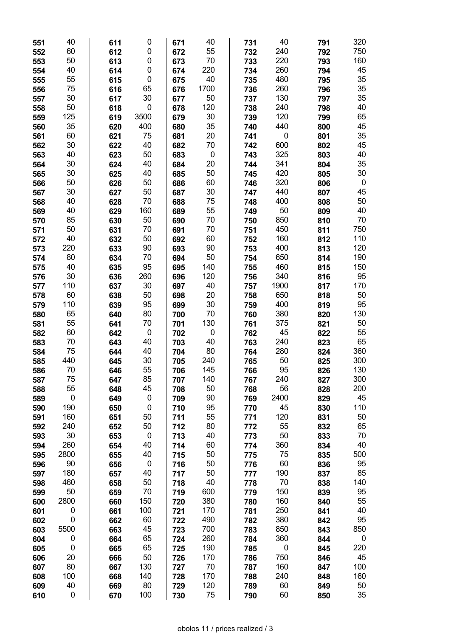| 551 | 40                | 611 | 0           | 671 | 40               | 731 | 40               | 791 | 320       |
|-----|-------------------|-----|-------------|-----|------------------|-----|------------------|-----|-----------|
| 552 | 60                | 612 | 0           | 672 | 55               | 732 | 240              | 792 | 750       |
| 553 | 50                | 613 | 0           | 673 | 70               | 733 | 220              | 793 | 160       |
| 554 | 40                | 614 | 0           | 674 | 220              | 734 | 260              | 794 | 45        |
| 555 | 55                | 615 | 0           | 675 | 40               | 735 | 480              | 795 | 35        |
| 556 | 75                | 616 | 65          | 676 | 1700             | 736 | 260              | 796 | 35        |
| 557 | 30                | 617 | 30          | 677 | 50               | 737 | 130              | 797 | 35        |
| 558 | 50                | 618 | $\mathbf 0$ | 678 | 120              | 738 | 240              | 798 | 40        |
| 559 | 125               | 619 | 3500        | 679 | 30               | 739 | 120              | 799 | 65        |
| 560 | 35                | 620 | 400         | 680 | 35               | 740 | 440              | 800 | 45        |
| 561 | 60                | 621 | 75          | 681 | 20               | 741 | $\boldsymbol{0}$ | 801 | 35        |
| 562 | 30                | 622 | 40          | 682 | 70               | 742 | 600              | 802 | 45        |
| 563 | 40                | 623 | 50          | 683 | $\boldsymbol{0}$ | 743 | 325              | 803 | 40        |
| 564 | 30                | 624 | 40          | 684 | 20               | 744 | 341              | 804 | 35        |
| 565 | 30                | 625 | 40          | 685 | 50               | 745 | 420              | 805 | 30        |
| 566 | 50                | 626 | 50          | 686 | 60               | 746 | 320              | 806 | $\pmb{0}$ |
| 567 | 30                | 627 | 50          | 687 | 30               | 747 | 440              | 807 | 45        |
| 568 | 40                | 628 | 70          | 688 | 75               | 748 | 400              | 808 | 50        |
| 569 | 40                | 629 | 160         | 689 | 55               | 749 | 50               | 809 | 40        |
| 570 | 85                | 630 | 50          | 690 | 70               | 750 | 850              | 810 | 70        |
| 571 | 50                | 631 | 70          | 691 | 70               | 751 | 450              | 811 | 750       |
| 572 | 40                | 632 | 50          | 692 | 60               | 752 | 160              | 812 | 110       |
| 573 | 220               | 633 | 90          | 693 | 90               | 753 | 400              | 813 | 120       |
| 574 | 80                | 634 | 70          | 694 | 50               | 754 | 650              | 814 | 190       |
| 575 | 40                | 635 | 95          | 695 | 140              | 755 | 460              | 815 | 150       |
| 576 | 30                | 636 | 260         | 696 | 120              | 756 | 340              | 816 | 95        |
| 577 | 110               | 637 | 30          | 697 | 40               | 757 | 1900             | 817 | 170       |
| 578 | 60                | 638 | 50          | 698 | 20               | 758 | 650              | 818 | 50        |
| 579 | 110               | 639 | 95          | 699 | 30               | 759 | 400              | 819 | 95        |
| 580 | 65                | 640 | 80          | 700 | 70               | 760 | 380              | 820 | 130       |
| 581 | 55                | 641 | 70          | 701 | 130              | 761 | 375              | 821 | 50        |
| 582 | 60                | 642 | $\mathbf 0$ | 702 | $\pmb{0}$        | 762 | 45               | 822 | 55        |
| 583 | 70                | 643 | 40          | 703 | 40               | 763 | 240              | 823 | 65        |
| 584 | 75                | 644 | 40          | 704 | 80               | 764 | 280              | 824 | 360       |
| 585 | 440               | 645 | 30          | 705 | 240              | 765 | 50               | 825 | 300       |
| 586 | 70                | 646 | 55          | 706 | 145              | 766 | 95               | 826 | 130       |
| 587 | 75                | 647 | 85          | 707 | 140              | 767 | 240              | 827 | 300       |
| 588 | 55                | 648 | 45          | 708 | 50               | 768 | 56               | 828 | 200       |
| 589 | $\mathbf 0$       | 649 | $\mathbf 0$ | 709 | 90               | 769 | 2400             | 829 | 45        |
| 590 | 190               | 650 | $\mathbf 0$ | 710 | 95               | 770 | 45               | 830 | 110       |
| 591 | 160               | 651 | 50          | 711 | 55               | 771 | 120              | 831 | 50        |
| 592 | 240               | 652 | 50          | 712 | 80               | 772 | 55               | 832 | 65        |
| 593 | 30                | 653 | $\mathbf 0$ | 713 | 40               | 773 | 50               | 833 | 70        |
| 594 | 260               | 654 | 40          | 714 | 60               | 774 | 360              | 834 | 40        |
| 595 | 2800              | 655 | 40          | 715 | 50               | 775 | 75               | 835 | 500       |
| 596 | 90                | 656 | $\mathbf 0$ | 716 | 50               | 776 | 60               | 836 | 95        |
| 597 | 180               | 657 | 40          | 717 | 50               | 777 | 190              | 837 | 85        |
| 598 | 460               | 658 | 50          | 718 | 40               | 778 | 70               | 838 | 140       |
| 599 | 50                | 659 | 70          | 719 | 600              | 779 | 150              | 839 | 95        |
| 600 | 2800              | 660 | 150         | 720 | 380              | 780 | 160              | 840 | 55        |
| 601 | $\mathbf 0$       | 661 | 100         | 721 | 170              | 781 | 250              | 841 | 40        |
| 602 | $\mathbf 0$       | 662 | 60          | 722 | 490              | 782 | 380              | 842 | 95        |
| 603 | 5500              | 663 | 45          | 723 | 700              | 783 | 850              | 843 | 850       |
| 604 | 0                 | 664 | 65          | 724 | 260              | 784 | 360              | 844 | 0         |
| 605 | $\mathbf 0$       | 665 | 65          | 725 | 190              | 785 | $\mathbf 0$      | 845 | 220       |
| 606 | 20                | 666 | 50          | 726 | 170              | 786 | 750              | 846 | 45        |
| 607 | 80                | 667 | 130         | 727 | 70               | 787 | 160              | 847 | 100       |
| 608 | 100               | 668 | 140<br>80   | 728 | 170              | 788 | 240<br>60        | 848 | 160       |
| 609 | 40<br>$\mathbf 0$ | 669 | 100         | 729 | 120<br>75        | 789 | 60               | 849 | 50<br>35  |
| 610 |                   | 670 |             | 730 |                  | 790 |                  | 850 |           |